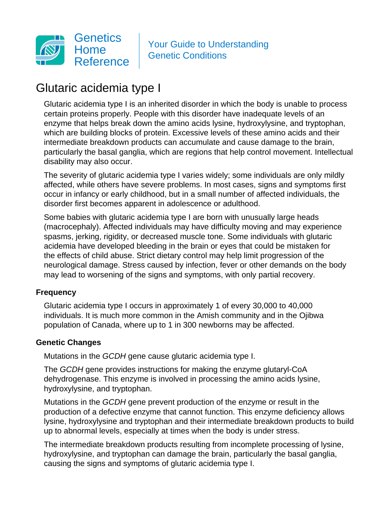

Your Guide to Understanding Genetic Conditions

# Glutaric acidemia type I

Glutaric acidemia type I is an inherited disorder in which the body is unable to process certain proteins properly. People with this disorder have inadequate levels of an enzyme that helps break down the amino acids lysine, hydroxylysine, and tryptophan, which are building blocks of protein. Excessive levels of these amino acids and their intermediate breakdown products can accumulate and cause damage to the brain, particularly the basal ganglia, which are regions that help control movement. Intellectual disability may also occur.

The severity of glutaric acidemia type I varies widely; some individuals are only mildly affected, while others have severe problems. In most cases, signs and symptoms first occur in infancy or early childhood, but in a small number of affected individuals, the disorder first becomes apparent in adolescence or adulthood.

Some babies with glutaric acidemia type I are born with unusually large heads (macrocephaly). Affected individuals may have difficulty moving and may experience spasms, jerking, rigidity, or decreased muscle tone. Some individuals with glutaric acidemia have developed bleeding in the brain or eyes that could be mistaken for the effects of child abuse. Strict dietary control may help limit progression of the neurological damage. Stress caused by infection, fever or other demands on the body may lead to worsening of the signs and symptoms, with only partial recovery.

# **Frequency**

Glutaric acidemia type I occurs in approximately 1 of every 30,000 to 40,000 individuals. It is much more common in the Amish community and in the Ojibwa population of Canada, where up to 1 in 300 newborns may be affected.

#### **Genetic Changes**

Mutations in the GCDH gene cause glutaric acidemia type I.

The GCDH gene provides instructions for making the enzyme glutaryl-CoA dehydrogenase. This enzyme is involved in processing the amino acids lysine, hydroxylysine, and tryptophan.

Mutations in the GCDH gene prevent production of the enzyme or result in the production of a defective enzyme that cannot function. This enzyme deficiency allows lysine, hydroxylysine and tryptophan and their intermediate breakdown products to build up to abnormal levels, especially at times when the body is under stress.

The intermediate breakdown products resulting from incomplete processing of lysine, hydroxylysine, and tryptophan can damage the brain, particularly the basal ganglia, causing the signs and symptoms of glutaric acidemia type I.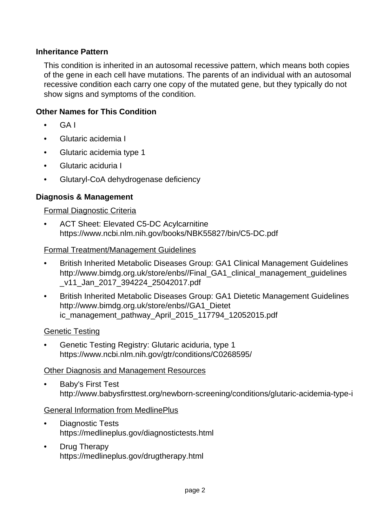# **Inheritance Pattern**

This condition is inherited in an autosomal recessive pattern, which means both copies of the gene in each cell have mutations. The parents of an individual with an autosomal recessive condition each carry one copy of the mutated gene, but they typically do not show signs and symptoms of the condition.

## **Other Names for This Condition**

- GA I
- Glutaric acidemia I
- Glutaric acidemia type 1
- Glutaric aciduria I
- Glutaryl-CoA dehydrogenase deficiency

## **Diagnosis & Management**

#### Formal Diagnostic Criteria

• ACT Sheet: Elevated C5-DC Acylcarnitine <https://www.ncbi.nlm.nih.gov/books/NBK55827/bin/C5-DC.pdf>

#### Formal Treatment/Management Guidelines

- British Inherited Metabolic Diseases Group: GA1 Clinical Management Guidelines [http://www.bimdg.org.uk/store/enbs//Final\\_GA1\\_clinical\\_management\\_guidelines](http://www.bimdg.org.uk/store/enbs//Final_GA1_clinical_management_guidelines_v11_Jan_2017_394224_25042017.pdf) [\\_v11\\_Jan\\_2017\\_394224\\_25042017.pdf](http://www.bimdg.org.uk/store/enbs//Final_GA1_clinical_management_guidelines_v11_Jan_2017_394224_25042017.pdf)
- British Inherited Metabolic Diseases Group: GA1 Dietetic Management Guidelines [http://www.bimdg.org.uk/store/enbs//GA1\\_Dietet](http://www.bimdg.org.uk/store/enbs//GA1_Dietetic_management_pathway_April_2015_117794_12052015.pdf) [ic\\_management\\_pathway\\_April\\_2015\\_117794\\_12052015.pdf](http://www.bimdg.org.uk/store/enbs//GA1_Dietetic_management_pathway_April_2015_117794_12052015.pdf)

#### Genetic Testing

• Genetic Testing Registry: Glutaric aciduria, type 1 <https://www.ncbi.nlm.nih.gov/gtr/conditions/C0268595/>

#### Other Diagnosis and Management Resources

• Baby's First Test <http://www.babysfirsttest.org/newborn-screening/conditions/glutaric-acidemia-type-i>

#### General Information from MedlinePlus

- Diagnostic Tests <https://medlineplus.gov/diagnostictests.html>
- Drug Therapy <https://medlineplus.gov/drugtherapy.html>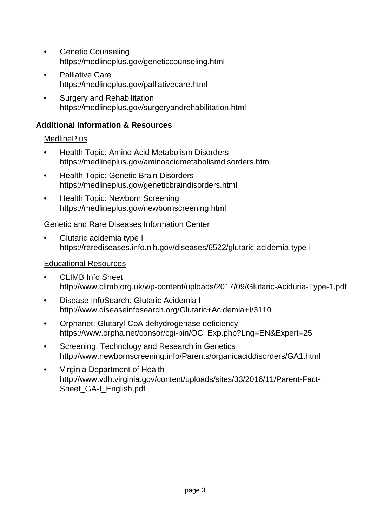- Genetic Counseling <https://medlineplus.gov/geneticcounseling.html>
- Palliative Care <https://medlineplus.gov/palliativecare.html>
- Surgery and Rehabilitation <https://medlineplus.gov/surgeryandrehabilitation.html>

# **Additional Information & Resources**

# **MedlinePlus**

- Health Topic: Amino Acid Metabolism Disorders <https://medlineplus.gov/aminoacidmetabolismdisorders.html>
- Health Topic: Genetic Brain Disorders <https://medlineplus.gov/geneticbraindisorders.html>
- Health Topic: Newborn Screening <https://medlineplus.gov/newbornscreening.html>

# Genetic and Rare Diseases Information Center

• Glutaric acidemia type I <https://rarediseases.info.nih.gov/diseases/6522/glutaric-acidemia-type-i>

# Educational Resources

- CLIMB Info Sheet <http://www.climb.org.uk/wp-content/uploads/2017/09/Glutaric-Aciduria-Type-1.pdf>
- Disease InfoSearch: Glutaric Acidemia I <http://www.diseaseinfosearch.org/Glutaric+Acidemia+I/3110>
- Orphanet: Glutaryl-CoA dehydrogenase deficiency [https://www.orpha.net/consor/cgi-bin/OC\\_Exp.php?Lng=EN&Expert=25](https://www.orpha.net/consor/cgi-bin/OC_Exp.php?Lng=EN&Expert=25)
- Screening, Technology and Research in Genetics <http://www.newbornscreening.info/Parents/organicaciddisorders/GA1.html>
- Virginia Department of Health [http://www.vdh.virginia.gov/content/uploads/sites/33/2016/11/Parent-Fact-](http://www.vdh.virginia.gov/content/uploads/sites/33/2016/11/Parent-Fact-Sheet_GA-I_English.pdf)Sheet GA-I English.pdf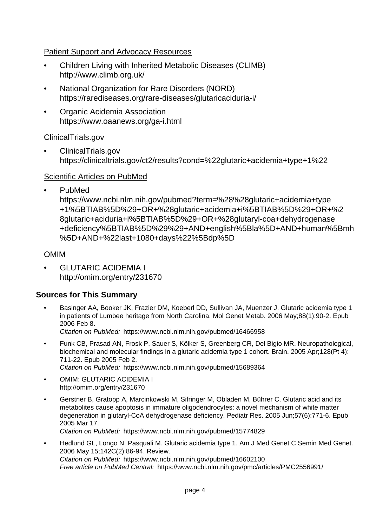# Patient Support and Advocacy Resources

- Children Living with Inherited Metabolic Diseases (CLIMB) <http://www.climb.org.uk/>
- National Organization for Rare Disorders (NORD) <https://rarediseases.org/rare-diseases/glutaricaciduria-i/>
- Organic Acidemia Association <https://www.oaanews.org/ga-i.html>

## ClinicalTrials.gov

• ClinicalTrials.gov <https://clinicaltrials.gov/ct2/results?cond=%22glutaric+acidemia+type+1%22>

## Scientific Articles on PubMed

• PubMed

[https://www.ncbi.nlm.nih.gov/pubmed?term=%28%28glutaric+acidemia+type](https://www.ncbi.nlm.nih.gov/pubmed?term=%28%28glutaric+acidemia+type+1%5BTIAB%5D%29+OR+%28glutaric+acidemia+i%5BTIAB%5D%29+OR+%28glutaric+aciduria+i%5BTIAB%5D%29+OR+%28glutaryl-coa+dehydrogenase+deficiency%5BTIAB%5D%29%29+AND+english%5Bla%5D+AND+human%5Bmh%5D+AND+%22last+1080+days%22%5Bdp%5D) [+1%5BTIAB%5D%29+OR+%28glutaric+acidemia+i%5BTIAB%5D%29+OR+%2](https://www.ncbi.nlm.nih.gov/pubmed?term=%28%28glutaric+acidemia+type+1%5BTIAB%5D%29+OR+%28glutaric+acidemia+i%5BTIAB%5D%29+OR+%28glutaric+aciduria+i%5BTIAB%5D%29+OR+%28glutaryl-coa+dehydrogenase+deficiency%5BTIAB%5D%29%29+AND+english%5Bla%5D+AND+human%5Bmh%5D+AND+%22last+1080+days%22%5Bdp%5D) [8glutaric+aciduria+i%5BTIAB%5D%29+OR+%28glutaryl-coa+dehydrogenase](https://www.ncbi.nlm.nih.gov/pubmed?term=%28%28glutaric+acidemia+type+1%5BTIAB%5D%29+OR+%28glutaric+acidemia+i%5BTIAB%5D%29+OR+%28glutaric+aciduria+i%5BTIAB%5D%29+OR+%28glutaryl-coa+dehydrogenase+deficiency%5BTIAB%5D%29%29+AND+english%5Bla%5D+AND+human%5Bmh%5D+AND+%22last+1080+days%22%5Bdp%5D) [+deficiency%5BTIAB%5D%29%29+AND+english%5Bla%5D+AND+human%5Bmh](https://www.ncbi.nlm.nih.gov/pubmed?term=%28%28glutaric+acidemia+type+1%5BTIAB%5D%29+OR+%28glutaric+acidemia+i%5BTIAB%5D%29+OR+%28glutaric+aciduria+i%5BTIAB%5D%29+OR+%28glutaryl-coa+dehydrogenase+deficiency%5BTIAB%5D%29%29+AND+english%5Bla%5D+AND+human%5Bmh%5D+AND+%22last+1080+days%22%5Bdp%5D) [%5D+AND+%22last+1080+days%22%5Bdp%5D](https://www.ncbi.nlm.nih.gov/pubmed?term=%28%28glutaric+acidemia+type+1%5BTIAB%5D%29+OR+%28glutaric+acidemia+i%5BTIAB%5D%29+OR+%28glutaric+aciduria+i%5BTIAB%5D%29+OR+%28glutaryl-coa+dehydrogenase+deficiency%5BTIAB%5D%29%29+AND+english%5Bla%5D+AND+human%5Bmh%5D+AND+%22last+1080+days%22%5Bdp%5D)

## OMIM

• GLUTARIC ACIDEMIA I <http://omim.org/entry/231670>

# **Sources for This Summary**

• Basinger AA, Booker JK, Frazier DM, Koeberl DD, Sullivan JA, Muenzer J. Glutaric acidemia type 1 in patients of Lumbee heritage from North Carolina. Mol Genet Metab. 2006 May;88(1):90-2. Epub 2006 Feb 8.

Citation on PubMed: <https://www.ncbi.nlm.nih.gov/pubmed/16466958>

• Funk CB, Prasad AN, Frosk P, Sauer S, Kölker S, Greenberg CR, Del Bigio MR. Neuropathological, biochemical and molecular findings in a glutaric acidemia type 1 cohort. Brain. 2005 Apr;128(Pt 4): 711-22. Epub 2005 Feb 2.

Citation on PubMed: <https://www.ncbi.nlm.nih.gov/pubmed/15689364>

- OMIM: GLUTARIC ACIDEMIA I <http://omim.org/entry/231670>
- Gerstner B, Gratopp A, Marcinkowski M, Sifringer M, Obladen M, Bührer C. Glutaric acid and its metabolites cause apoptosis in immature oligodendrocytes: a novel mechanism of white matter degeneration in glutaryl-CoA dehydrogenase deficiency. Pediatr Res. 2005 Jun;57(6):771-6. Epub 2005 Mar 17.

Citation on PubMed: <https://www.ncbi.nlm.nih.gov/pubmed/15774829>

• Hedlund GL, Longo N, Pasquali M. Glutaric acidemia type 1. Am J Med Genet C Semin Med Genet. 2006 May 15;142C(2):86-94. Review. Citation on PubMed: <https://www.ncbi.nlm.nih.gov/pubmed/16602100> Free article on PubMed Central: <https://www.ncbi.nlm.nih.gov/pmc/articles/PMC2556991/>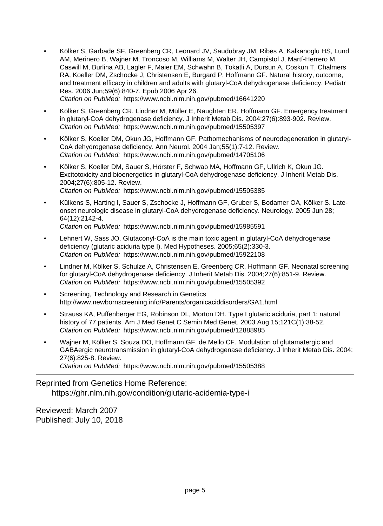• Kölker S, Garbade SF, Greenberg CR, Leonard JV, Saudubray JM, Ribes A, Kalkanoglu HS, Lund AM, Merinero B, Wajner M, Troncoso M, Williams M, Walter JH, Campistol J, Martí-Herrero M, Caswill M, Burlina AB, Lagler F, Maier EM, Schwahn B, Tokatli A, Dursun A, Coskun T, Chalmers RA, Koeller DM, Zschocke J, Christensen E, Burgard P, Hoffmann GF. Natural history, outcome, and treatment efficacy in children and adults with glutaryl-CoA dehydrogenase deficiency. Pediatr Res. 2006 Jun;59(6):840-7. Epub 2006 Apr 26. Citation on PubMed: <https://www.ncbi.nlm.nih.gov/pubmed/16641220>

• Kölker S, Greenberg CR, Lindner M, Müller E, Naughten ER, Hoffmann GF. Emergency treatment in glutaryl-CoA dehydrogenase deficiency. J Inherit Metab Dis. 2004;27(6):893-902. Review. Citation on PubMed: <https://www.ncbi.nlm.nih.gov/pubmed/15505397>

- Kölker S, Koeller DM, Okun JG, Hoffmann GF. Pathomechanisms of neurodegeneration in glutaryl-CoA dehydrogenase deficiency. Ann Neurol. 2004 Jan;55(1):7-12. Review. Citation on PubMed: <https://www.ncbi.nlm.nih.gov/pubmed/14705106>
- Kölker S, Koeller DM, Sauer S, Hörster F, Schwab MA, Hoffmann GF, Ullrich K, Okun JG. Excitotoxicity and bioenergetics in glutaryl-CoA dehydrogenase deficiency. J Inherit Metab Dis. 2004;27(6):805-12. Review. Citation on PubMed: <https://www.ncbi.nlm.nih.gov/pubmed/15505385>
- Külkens S, Harting I, Sauer S, Zschocke J, Hoffmann GF, Gruber S, Bodamer OA, Kölker S. Lateonset neurologic disease in glutaryl-CoA dehydrogenase deficiency. Neurology. 2005 Jun 28; 64(12):2142-4. Citation on PubMed: <https://www.ncbi.nlm.nih.gov/pubmed/15985591>
- Lehnert W, Sass JO. Glutaconyl-CoA is the main toxic agent in glutaryl-CoA dehydrogenase deficiency (glutaric aciduria type I). Med Hypotheses. 2005;65(2):330-3. Citation on PubMed: <https://www.ncbi.nlm.nih.gov/pubmed/15922108>
- Lindner M, Kölker S, Schulze A, Christensen E, Greenberg CR, Hoffmann GF. Neonatal screening for glutaryl-CoA dehydrogenase deficiency. J Inherit Metab Dis. 2004;27(6):851-9. Review. Citation on PubMed: <https://www.ncbi.nlm.nih.gov/pubmed/15505392>
- Screening, Technology and Research in Genetics <http://www.newbornscreening.info/Parents/organicaciddisorders/GA1.html>
- Strauss KA, Puffenberger EG, Robinson DL, Morton DH. Type I glutaric aciduria, part 1: natural history of 77 patients. Am J Med Genet C Semin Med Genet. 2003 Aug 15;121C(1):38-52. Citation on PubMed: <https://www.ncbi.nlm.nih.gov/pubmed/12888985>
- Wajner M, Kölker S, Souza DO, Hoffmann GF, de Mello CF. Modulation of glutamatergic and GABAergic neurotransmission in glutaryl-CoA dehydrogenase deficiency. J Inherit Metab Dis. 2004; 27(6):825-8. Review. Citation on PubMed: <https://www.ncbi.nlm.nih.gov/pubmed/15505388>

Reprinted from Genetics Home Reference:

<https://ghr.nlm.nih.gov/condition/glutaric-acidemia-type-i>

Reviewed: March 2007 Published: July 10, 2018